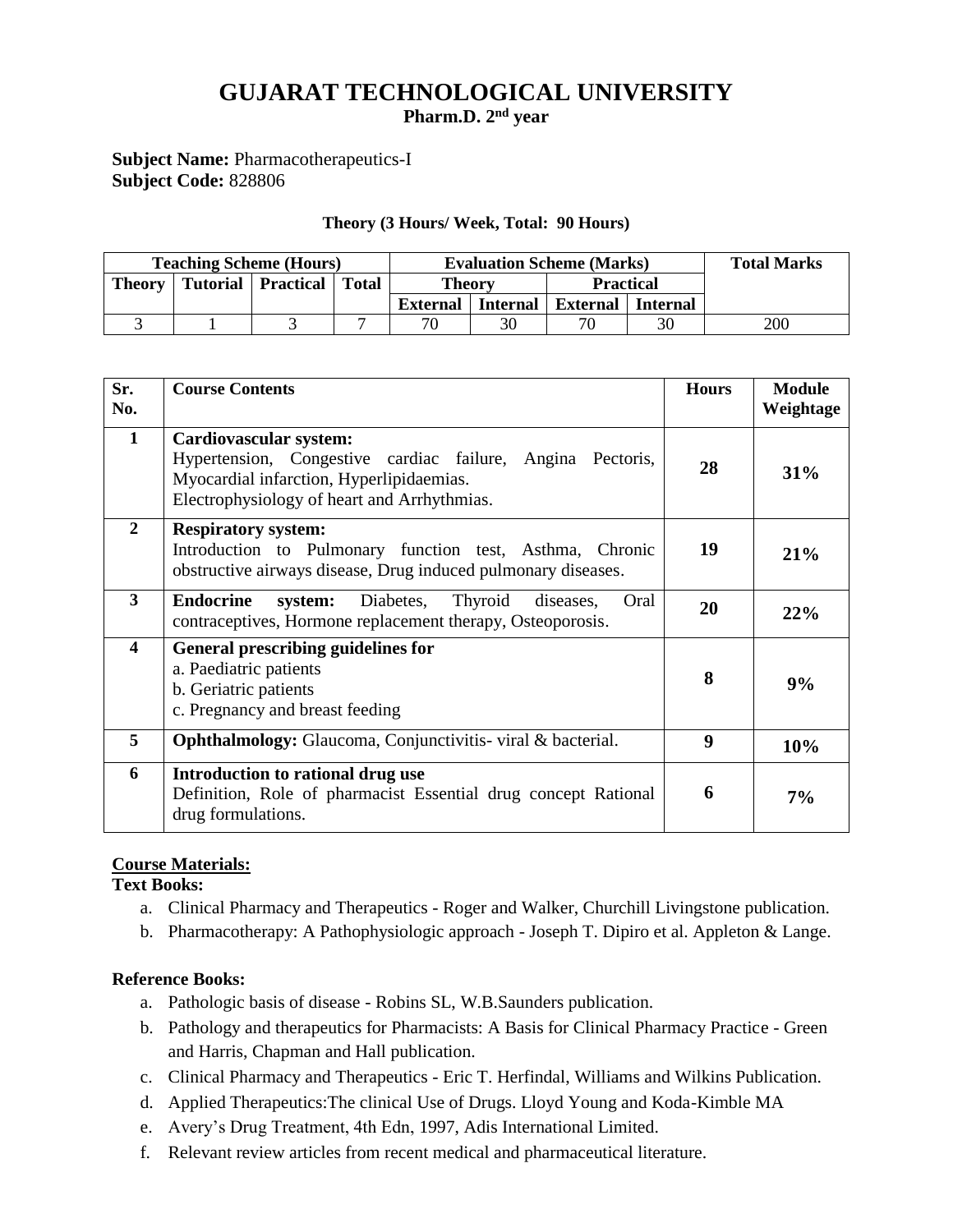# **GUJARAT TECHNOLOGICAL UNIVERSITY**

**Pharm.D. 2 nd year**

**Subject Name:** Pharmacotherapeutics-I **Subject Code:** 828806

#### **Theory (3 Hours/ Week, Total: 90 Hours)**

| <b>Teaching Scheme (Hours)</b> |  |                              |  | <b>Evaluation Scheme (Marks)</b> |                 |                     |    | <b>Total Marks</b> |
|--------------------------------|--|------------------------------|--|----------------------------------|-----------------|---------------------|----|--------------------|
| Theory                         |  | Tutorial   Practical   Total |  | <b>Theory</b>                    |                 | <b>Practical</b>    |    |                    |
|                                |  |                              |  | External                         | <b>Internal</b> | External   Internal |    |                    |
|                                |  |                              |  | 70                               | 30              | 70                  | 30 | 200                |

| Sr.<br>No.     | <b>Course Contents</b>                                                                                                                                                                 | <b>Hours</b> | <b>Module</b><br>Weightage |
|----------------|----------------------------------------------------------------------------------------------------------------------------------------------------------------------------------------|--------------|----------------------------|
| $\mathbf{1}$   | <b>Cardiovascular system:</b><br>Hypertension, Congestive cardiac failure, Angina Pectoris,<br>Myocardial infarction, Hyperlipidaemias.<br>Electrophysiology of heart and Arrhythmias. | 28           | 31%                        |
| $\overline{2}$ | <b>Respiratory system:</b><br>Introduction to Pulmonary function test, Asthma, Chronic<br>obstructive airways disease, Drug induced pulmonary diseases.                                | 19           | 21%                        |
| 3              | <b>Endocrine</b><br>Diabetes,<br>Thyroid<br>Oral<br>system:<br>diseases,<br>contraceptives, Hormone replacement therapy, Osteoporosis.                                                 | 20           | 22%                        |
| 4              | <b>General prescribing guidelines for</b><br>a. Paediatric patients<br>b. Geriatric patients<br>c. Pregnancy and breast feeding                                                        | 8            | 9%                         |
| 5              | <b>Ophthalmology:</b> Glaucoma, Conjunctivitis-viral & bacterial.                                                                                                                      | 9            | 10%                        |
| 6              | Introduction to rational drug use<br>Definition, Role of pharmacist Essential drug concept Rational<br>drug formulations.                                                              |              | 7%                         |

### **Course Materials:**

**Text Books:**

- a. Clinical Pharmacy and Therapeutics Roger and Walker, Churchill Livingstone publication.
- b. Pharmacotherapy: A Pathophysiologic approach Joseph T. Dipiro et al. Appleton & Lange.

#### **Reference Books:**

- a. Pathologic basis of disease Robins SL, W.B.Saunders publication.
- b. Pathology and therapeutics for Pharmacists: A Basis for Clinical Pharmacy Practice Green and Harris, Chapman and Hall publication.
- c. Clinical Pharmacy and Therapeutics Eric T. Herfindal, Williams and Wilkins Publication.
- d. Applied Therapeutics:The clinical Use of Drugs. Lloyd Young and Koda-Kimble MA
- e. Avery's Drug Treatment, 4th Edn, 1997, Adis International Limited.
- f. Relevant review articles from recent medical and pharmaceutical literature.